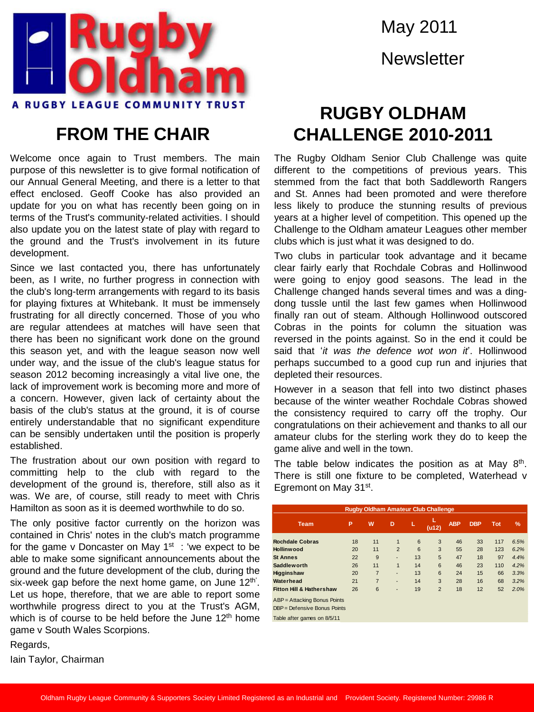

## **FROM THE CHAIR**

Welcome once again to Trust members. The main purpose of this newsletter is to give formal notification of our Annual General Meeting, and there is a letter to that effect enclosed. Geoff Cooke has also provided an update for you on what has recently been going on in terms of the Trust's community-related activities. I should also update you on the latest state of play with regard to the ground and the Trust's involvement in its future development.

Since we last contacted you, there has unfortunately been, as I write, no further progress in connection with the club's long-term arrangements with regard to its basis for playing fixtures at Whitebank. It must be immensely frustrating for all directly concerned. Those of you who are regular attendees at matches will have seen that there has been no significant work done on the ground this season yet, and with the league season now well under way, and the issue of the club's league status for season 2012 becoming increasingly a vital live one, the lack of improvement work is becoming more and more of a concern. However, given lack of certainty about the basis of the club's status at the ground, it is of course entirely understandable that no significant expenditure can be sensibly undertaken until the position is properly established.

The frustration about our own position with regard to committing help to the club with regard to the development of the ground is, therefore, still also as it was. We are, of course, still ready to meet with Chris Hamilton as soon as it is deemed worthwhile to do so.

The only positive factor currently on the horizon was contained in Chris' notes in the club's match programme for the game v Doncaster on May 1<sup>st</sup> : 'we expect to be able to make some significant announcements about the ground and the future development of the club, during the six-week gap before the next home game, on June  $12<sup>th</sup>$ . Let us hope, therefore, that we are able to report some worthwhile progress direct to you at the Trust's AGM, which is of course to be held before the June  $12<sup>th</sup>$  home game v South Wales Scorpions.

May 2011 **Newsletter** 

## **RUGBY OLDHAM CHALLENGE 2010-2011**

The Rugby Oldham Senior Club Challenge was quite different to the competitions of previous years. This stemmed from the fact that both Saddleworth Rangers and St. Annes had been promoted and were therefore less likely to produce the stunning results of previous years at a higher level of competition. This opened up the Challenge to the Oldham amateur Leagues other member clubs which is just what it was designed to do.

Two clubs in particular took advantage and it became clear fairly early that Rochdale Cobras and Hollinwood were going to enjoy good seasons. The lead in the Challenge changed hands several times and was a dingdong tussle until the last few games when Hollinwood finally ran out of steam. Although Hollinwood outscored Cobras in the points for column the situation was reversed in the points against. So in the end it could be said that '*it was the defence wot won it*'. Hollinwood perhaps succumbed to a good cup run and injuries that depleted their resources.

However in a season that fell into two distinct phases because of the winter weather Rochdale Cobras showed the consistency required to carry off the trophy. Our congratulations on their achievement and thanks to all our amateur clubs for the sterling work they do to keep the game alive and well in the town.

The table below indicates the position as at May  $8<sup>th</sup>$ . There is still one fixture to be completed, Waterhead v Egremont on May 31<sup>st</sup>.

| <b>Rugby Oldham Amateur Club Challenge</b>                   |    |                |                |    |                |            |            |            |               |  |
|--------------------------------------------------------------|----|----------------|----------------|----|----------------|------------|------------|------------|---------------|--|
| <b>Team</b>                                                  | P  | W              | D              | L  | L<br>(412)     | <b>ABP</b> | <b>DBP</b> | <b>Tot</b> | $\frac{9}{6}$ |  |
| <b>Rochdale Cobras</b>                                       | 18 | 11             | $\mathbf{1}$   | 6  | 3              | 46         | 33         | 117        | 6.5%          |  |
| Hollinwood                                                   | 20 | 11             | $\overline{2}$ | 6  | 3              | 55         | 28         | 123        | 6.2%          |  |
| <b>St Annes</b>                                              | 22 | 9              | ٠              | 13 | 5              | 47         | 18         | 97         | 4.4%          |  |
| Saddlew orth                                                 | 26 | 11             | $\overline{1}$ | 14 | 6              | 46         | 23         | 110        | 4.2%          |  |
| Higginshaw                                                   | 20 | $\overline{7}$ | ٠              | 13 | 6              | 24         | 15         | 66         | 3.3%          |  |
| Waterhead                                                    | 21 | $\overline{7}$ | ۰              | 14 | 3              | 28         | 16         | 68         | 3.2%          |  |
| <b>Fitton Hill &amp; Hathershaw</b>                          | 26 | 6              | ٠              | 19 | $\overline{2}$ | 18         | 12         | 52         | 2.0%          |  |
| ABP = Attacking Bonus Points<br>DBP = Defensive Bonus Points |    |                |                |    |                |            |            |            |               |  |
| Table after games on 8/5/11                                  |    |                |                |    |                |            |            |            |               |  |

Regards,

Iain Taylor, Chairman